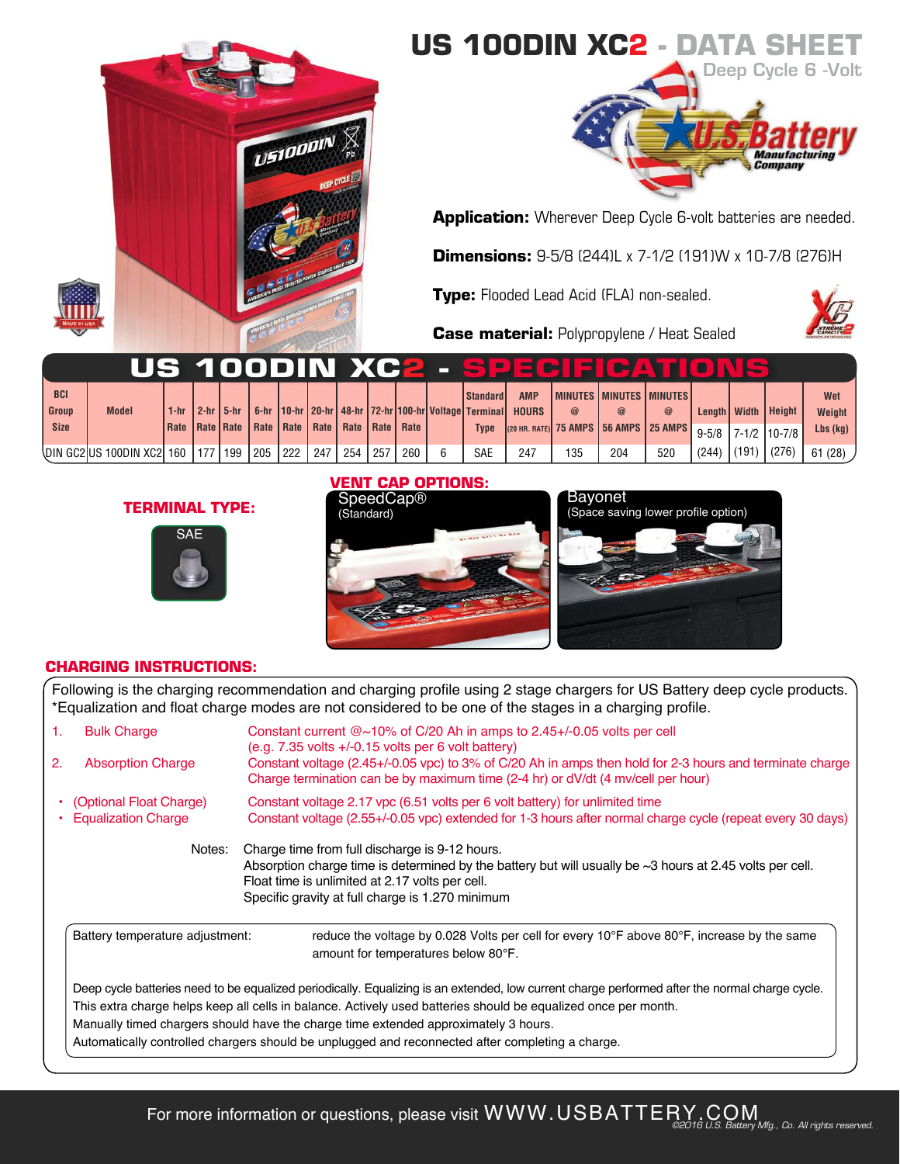





**Application:** Wherever Deep Cycle 6-volt batteries are needed.

**Dimensions:** 9-5/8 (244)L x 7-1/2 (191)W x 10-7/8 (276)H

**Type:** Flooded Lead Acid (FLA) non-sealed.

**Case material:** Polypropylene / Heat Sealed

|              |                                          |        |             |                   |                                                       |                  |     |     |     |              |                                                            |     | US 100DIN XC2 - SPECIEICATIO                       |             |       |       |                         |            |
|--------------|------------------------------------------|--------|-------------|-------------------|-------------------------------------------------------|------------------|-----|-----|-----|--------------|------------------------------------------------------------|-----|----------------------------------------------------|-------------|-------|-------|-------------------------|------------|
| <b>BCI</b>   |                                          |        |             |                   |                                                       |                  |     |     |     | l Standard I | <b>AMP</b>                                                 |     | <b>I MINUTES I MINUTES I MINUTES I</b>             |             |       |       |                         | Wet        |
| <b>Group</b> | <b>Model</b>                             | $1-hr$ | 2-hr   5-hr |                   |                                                       |                  |     |     |     |              | 6-hr 10-hr 20-hr 48-hr 72-hr 100-hr Voltage Terminal HOURS |     | $\circleda$                                        | $\circleda$ |       |       | Length   Width   Height | Weight     |
| <b>Size</b>  |                                          | Rate   |             |                   | Rate   Rate   Rate   Rate   Rate   Rate   Rate   Rate |                  |     |     |     | <b>Type</b>  |                                                            |     | 25 AMPS 35 AMPS 35 AMPS 35 AMPS 3-5/8 7-1/2 10-7/8 |             |       |       |                         | $Lbs$ (kg) |
|              | \DIN GC2 US 100DIN XC2   160   177   199 |        |             | 1205 <sub>1</sub> | 222                                                   | $\frac{1247}{2}$ | 254 | 257 | 260 | <b>SAE</b>   | 247                                                        | 135 | 204                                                | 520         | (244) | (191) | (276)                   | 61(28)     |

## **TERMINAL TYPE:**



### **VENT CAP OPTIONS:**





## **CHARGING INSTRUCTIONS:**

Following is the charging recommendation and charging profile using 2 stage chargers for US Battery deep cycle products. \*Equalization and float charge modes are not considered to be one of the stages in a charging profile.

| 1.<br>2. | <b>Bulk Charge</b><br><b>Absorption Charge</b>        | Constant current @~10% of C/20 Ah in amps to 2.45+/-0.05 volts per cell<br>$(e.g. 7.35$ volts $+/-0.15$ volts per 6 volt battery)<br>Constant voltage (2.45+/-0.05 vpc) to 3% of C/20 Ah in amps then hold for 2-3 hours and terminate charge<br>Charge termination can be by maximum time (2-4 hr) or dV/dt (4 mv/cell per hour)                                                                                                                           |
|----------|-------------------------------------------------------|-------------------------------------------------------------------------------------------------------------------------------------------------------------------------------------------------------------------------------------------------------------------------------------------------------------------------------------------------------------------------------------------------------------------------------------------------------------|
|          | (Optional Float Charge)<br><b>Equalization Charge</b> | Constant voltage 2.17 ypc (6.51 volts per 6 volt battery) for unlimited time<br>Constant voltage (2.55+/-0.05 vpc) extended for 1-3 hours after normal charge cycle (repeat every 30 days)                                                                                                                                                                                                                                                                  |
|          | Notes:                                                | Charge time from full discharge is 9-12 hours.<br>Absorption charge time is determined by the battery but will usually be $\sim$ 3 hours at 2.45 volts per cell.<br>Float time is unlimited at 2.17 volts per cell.<br>Specific gravity at full charge is 1.270 minimum                                                                                                                                                                                     |
|          | Battery temperature adjustment:                       | reduce the voltage by 0.028 Volts per cell for every 10 $\degree$ F above 80 $\degree$ F, increase by the same<br>amount for temperatures below 80°F.                                                                                                                                                                                                                                                                                                       |
|          |                                                       | Deep cycle batteries need to be equalized periodically. Equalizing is an extended, low current charge performed after the normal charge cycle.<br>This extra charge helps keep all cells in balance. Actively used batteries should be equalized once per month.<br>Manually timed chargers should have the charge time extended approximately 3 hours.<br>Automatically controlled chargers should be unplugged and reconnected after completing a charge. |